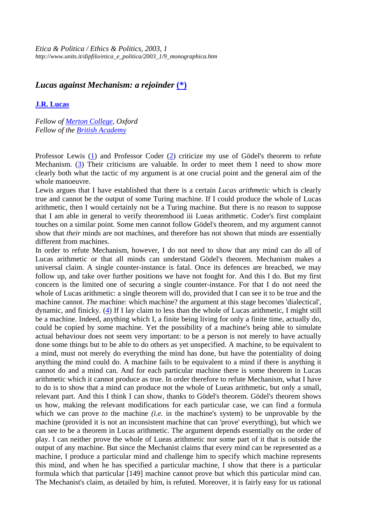## *Lucas against Mechanism: a rejoinder* **(\*)**

## **J.R. Lucas**

*Fellow of Merton College, Oxford Fellow of the British Academy*

Professor Lewis (1) and Professor Coder (2) criticize my use of Gödel's theorem to refute Mechanism. (3) Their criticisms are valuable. In order to meet them I need to show more clearly both what the tactic of my argument is at one crucial point and the general aim of the whole manoeuvre.

Lewis argues that I have established that there is a certain *Lucas arithmetic* which is clearly true and cannot be the output of some Turing machine. If I could produce the whole of Lucas arithmetic, then I would certainly not be a Turing machine. But there is no reason to suppose that I am able in general to verify theoremhood iii Lueas arithmetic. Coder's first complaint touches on a similar point. Some men cannot follow Gödel's theorem, and my argument cannot show that *their* minds are not machines, and therefore has not shown that minds are essentially different from machines.

In order to refute Mechanism, however, I do not need to show that any mind can do all of Lucas arithmetic or that all minds can understand Gödel's theorem. Mechanism makes a universal claim. A single counter-instance is fatal. Once its defences are breached, we may follow up, and take over further positions we have not fought for. And this I do. But my first concern is the limited one of securing a single counter-instance. For that I do not need the whole of Lucas arithmetic: a single theorem will do, provided that I can see it to be true and the machine cannot. *The* machine: which machine? the argument at this stage becomes 'dialectical', dynamic, and finicky. (4) If I lay claim to less than the whole of Lucas arithmetic, I might still be a machine. Indeed, anything which I, a finite being living for only a finite time, actually do, could be copied by some machine. Yet the possibility of a machine's being able to simulate actual behaviour does not seem very important: to be a person is not merely to have actually done some things but to be able to do others as yet unspecified. A machine, to be equivalent to a mind, must not merely do everything the mind has done, but have the potentiality of doing anything the mind could do. A machine fails to be equivalent to a mind if there is anything it cannot do and a mind can. And for each particular machine there is some theorem in Lucas arithmetic which it cannot produce as true. In order therefore to refute Mechanism, what I have to do is to show that a mind can produce not the whole of Lueas arithmetic, but only a small, relevant part. And this I think I can show, thanks to Gödel's theorem. Gödel's theorem shows us how, making the relevant modifications for each particular case, we can find a formula which we can prove *to* the machine *(i.e.* in the machine's system) to be unprovable by the machine (provided it is not an inconsistent machine that can 'prove' everything), but which we can see to be a theorem in Lucas arithmetic. The argument depends essentially on the order of play. I can neither prove the whole of Lueas arithmetic nor some part of it that is outside the output of any machine. But since the Mechanist claims that every mind can be represented as a machine, I produce a particular mind and challenge him to specify which machine represents this mind, and when he has specified a particular machine, I show that there is a particular formula which that particular [149] machine cannot prove but which this particular mind can. The Mechanist's claim, as detailed by him, is refuted. Moreover, it is fairly easy for us rational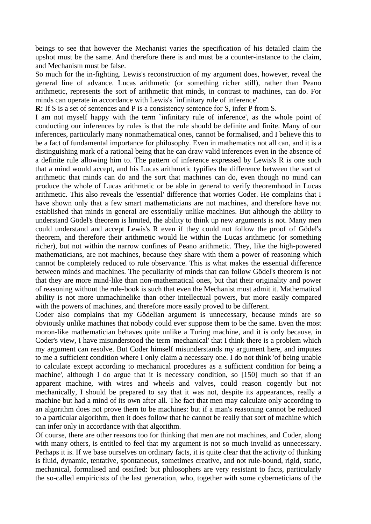beings to see that however the Mechanist varies the specification of his detailed claim the upshot must be the same. And therefore there is and must be a counter-instance to the claim, and Mechanism must be false.

So much for the in-fighting. Lewis's reconstruction of my argument does, however, reveal the general line of advance. Lucas arithmetic (or something richer still), rather than Peano arithmetic, represents the sort of arithmetic that minds, in contrast to machines, can do. For minds can operate in accordance with Lewis's `infinitary rule of inference'.

**R:** If S is a set of sentences and P is a consistency sentence for S, infer P from S.

I am not myself happy with the term `infinitary rule of inference', as the whole point of conducting our inferences by rules is that the rule should be definite and finite. Many of our inferences, particularly many nonmathematical ones, cannot be formalised, and I believe this to be a fact of fundamental importance for philosophy. Even in mathematics not all can, and it is a distinguishing mark of a rational being that he can draw valid inferences even in the absence of a definite rule allowing him to. The pattern of inference expressed by Lewis's R is one such that a mind would accept, and his Lucas arithmetic typifies the difference between the sort of arithmetic that minds can do and the sort that machines can do, even though no mind can produce the whole of Lucas arithmetic or be able in general to verify theoremhood in Lucas arithmetic. This also reveals the 'essential' difference that worries Coder. He complains that I have shown only that a few smart mathematicians are not machines, and therefore have not established that minds in general are essentially unlike machines. But although the ability to understand Gödel's theorem is limited, the ability to think up new arguments is not. Many men could understand and accept Lewis's R even if they could not follow the proof of Gödel's theorem, and therefore their arithmetic would lie within the Lucas arithmetic (or something richer), but not within the narrow confines of Peano arithmetic. They, like the high-powered mathematicians, are not machines, because they share with them a power of reasoning which cannot be completely reduced to rule observance. This is what makes the essential difference between minds and machines. The peculiarity of minds that can follow Gödel's theorem is not that they are more mind-like than non-mathematical ones, but that their originality and power of reasoning without the rule-book is such that even the Mechanist must admit it. Mathematical ability is not more unmachinelike than other intellectual powers, but more easily compared with the powers of machines, and therefore more easily proved to be different.

Coder also complains that my Gödelian argument is unnecessary, because minds are so obviously unlike machines that nobody could ever suppose them to be the same. Even the most moron-like mathematician behaves quite unlike a Turing machine, and it is only because, in Coder's view, I have misunderstood the term 'mechanical' that I think there is a problem which my argument can resolve. But Coder himself misunderstands my argument here, and imputes to me a sufficient condition where I only claim a necessary one. I do not think 'of being unable to calculate except according to mechanical procedures as a sufficient condition for being a machine', although I do argue that it is necessary condition, so [150] much so that if an apparent machine, with wires and wheels and valves, could reason cogently but not mechanically, I should be prepared to say that it was not, despite its appearances, really a machine but had a mind of its own after all. The fact that men may calculate only according to an algorithm does not prove them to be machines: but if a man's reasoning cannot be reduced to a particular algorithm, then it does follow that he cannot be really that sort of machine which can infer only in accordance with that algorithm.

Of course, there are other reasons too for thinking that men are not machines, and Coder, along with many others, is entitled to feel that my argument is not so much invalid as unnecessary. Perhaps it is. If we base ourselves on ordinary facts, it is quite clear that the activity of thinking is fluid, dynamic, tentative, spontaneous, sometimes creative, and not rule-bound, rigid, static, mechanical, formalised and ossified: but philosophers are very resistant to facts, particularly the so-called empiricists of the last generation, who, together with some cyberneticians of the